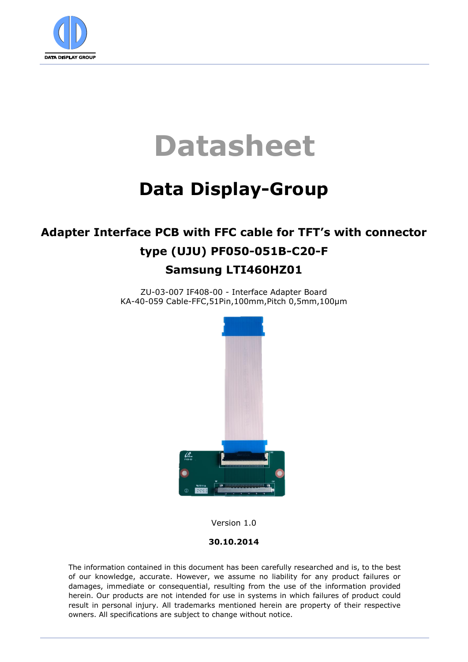

# **Datasheet**

# **Data Display-Group**

### **Adapter Interface PCB with FFC cable for TFT's with connector type (UJU) PF050-051B-C20-F Samsung LTI460HZ01**

ZU-03-007 IF408-00 - Interface Adapter Board KA-40-059 Cable-FFC,51Pin,100mm,Pitch 0,5mm,100µm



Version 1.0

#### **30.10.2014**

The information contained in this document has been carefully researched and is, to the best of our knowledge, accurate. However, we assume no liability for any product failures or damages, immediate or consequential, resulting from the use of the information provided herein. Our products are not intended for use in systems in which failures of product could result in personal injury. All trademarks mentioned herein are property of their respective owners. All specifications are subject to change without notice.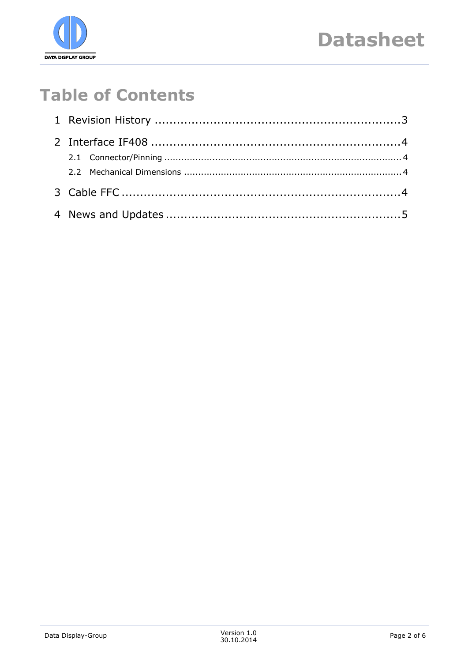

## **Table of Contents**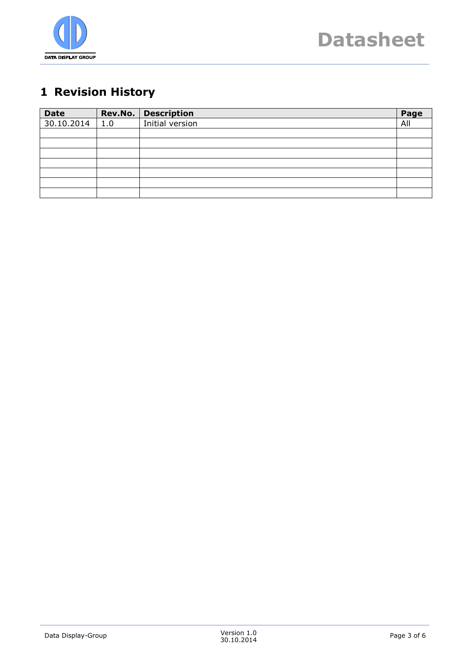

### <span id="page-2-0"></span>**1 Revision History**

| <b>Date</b> |     | Rev.No.   Description | Page |
|-------------|-----|-----------------------|------|
| 30.10.2014  | 1.0 | Initial version       | All  |
|             |     |                       |      |
|             |     |                       |      |
|             |     |                       |      |
|             |     |                       |      |
|             |     |                       |      |
|             |     |                       |      |
|             |     |                       |      |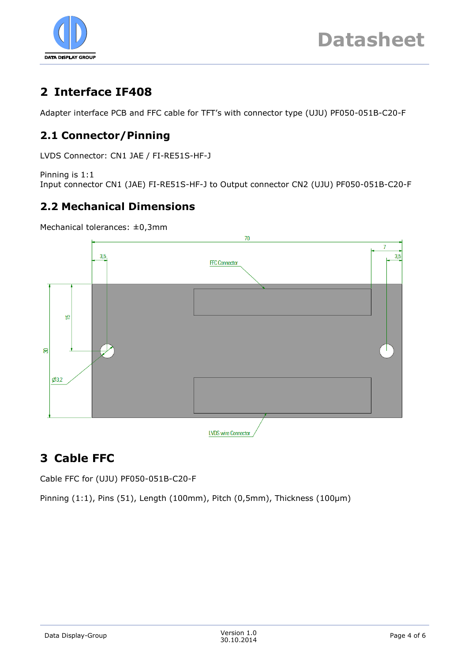

### <span id="page-3-0"></span>**2 Interface IF408**

Adapter interface PCB and FFC cable for TFT's with connector type (UJU) PF050-051B-C20-F

### <span id="page-3-1"></span>**2.1 Connector/Pinning**

LVDS Connector: CN1 JAE / FI-RE51S-HF-J

Pinning is 1:1 Input connector CN1 (JAE) FI-RE51S-HF-J to Output connector CN2 (UJU) PF050-051B-C20-F

### <span id="page-3-2"></span>**2.2 Mechanical Dimensions**

Mechanical tolerances: ±0,3mm



### <span id="page-3-3"></span>**3 Cable FFC**

Cable FFC for (UJU) PF050-051B-C20-F

Pinning (1:1), Pins (51), Length (100mm), Pitch (0,5mm), Thickness (100µm)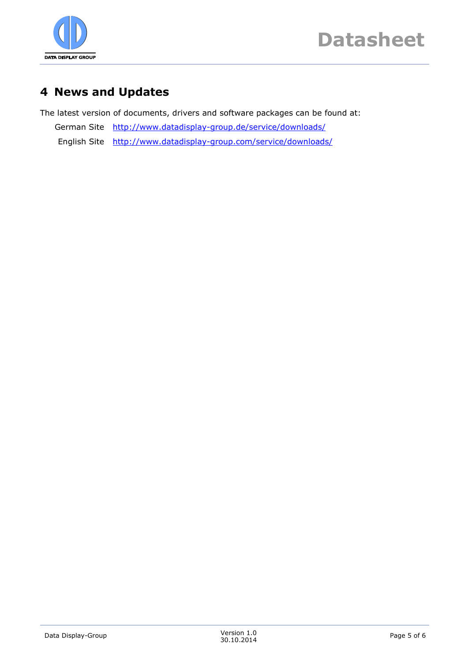

### <span id="page-4-0"></span>**4 News and Updates**

The latest version of documents, drivers and software packages can be found at:

German Site <http://www.datadisplay-group.de/service/downloads/> English Site <http://www.datadisplay-group.com/service/downloads/>